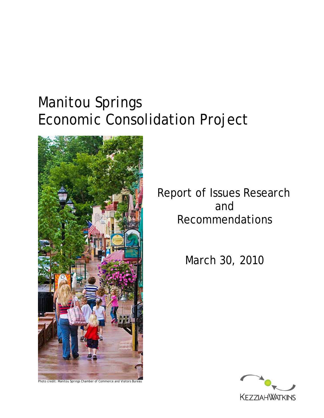# Manitou Springs Economic Consolidation Project



Report of Issues Research and Recommendations

March 30, 2010

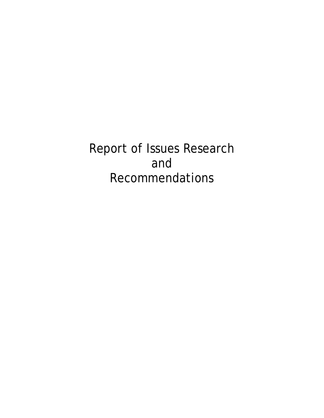Report of Issues Research and Recommendations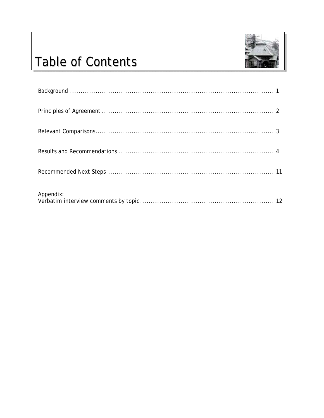

# **Table of Contents**

| Appendix: |
|-----------|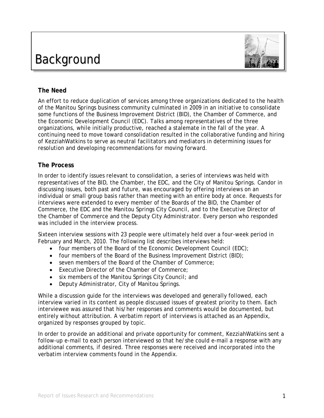# Background



### **The Need**

An effort to reduce duplication of services among three organizations dedicated to the health of the Manitou Springs business community culminated in 2009 in an initiative to consolidate some functions of the Business Improvement District (BID), the Chamber of Commerce, and the Economic Development Council (EDC). Talks among representatives of the three organizations, while initially productive, reached a stalemate in the fall of the year. A continuing need to move toward consolidation resulted in the collaborative funding and hiring of KezziahWatkins to serve as neutral facilitators and mediators in determining issues for resolution and developing recommendations for moving forward.

### **The Process**

In order to identify issues relevant to consolidation, a series of interviews was held with representatives of the BID, the Chamber, the EDC, and the City of Manitou Springs. Candor in discussing issues, both past and future, was encouraged by offering interviews on an individual or small group basis rather than meeting with an entire body at once. Requests for interviews were extended to every member of the Boards of the BID, the Chamber of Commerce, the EDC and the Manitou Springs City Council, and to the Executive Director of the Chamber of Commerce and the Deputy City Administrator. Every person who responded was included in the interview process.

Sixteen interview sessions with 23 people were ultimately held over a four-week period in February and March, 2010. The following list describes interviews held:

- four members of the Board of the Economic Development Council (EDC);
- four members of the Board of the Business Improvement District (BID);
- seven members of the Board of the Chamber of Commerce;
- Executive Director of the Chamber of Commerce;
- six members of the Manitou Springs City Council; and
- Deputy Administrator, City of Manitou Springs.

While a discussion guide for the interviews was developed and generally followed, each interview varied in its content as people discussed issues of greatest priority to them. Each interviewee was assured that his/her responses and comments would be documented, but entirely without attribution. A verbatim report of interviews is attached as an Appendix, organized by responses grouped by topic.

In order to provide an additional and private opportunity for comment, KezziahWatkins sent a follow-up e-mail to each person interviewed so that he/she could e-mail a response with any additional comments, if desired. Three responses were received and incorporated into the verbatim interview comments found in the Appendix.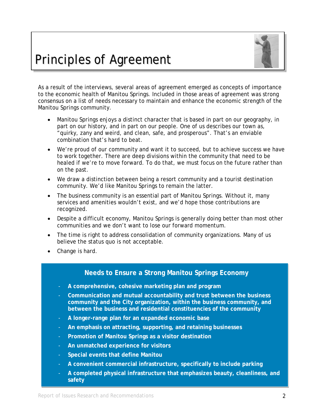

# Principles of Agreement

As a result of the interviews, several areas of agreement emerged as concepts of importance to the economic health of Manitou Springs. Included in those areas of agreement was strong consensus on a list of needs necessary to maintain and enhance the economic strength of the Manitou Springs community.

- Manitou Springs enjoys a distinct character that is based in part on our geography, in part on our history, and in part on our people. One of us describes our town as, "quirky, zany and weird, and clean, safe, and prosperous". That's an enviable combination that's hard to beat.
- We're proud of our community and want it to succeed, but to achieve success we have to work together. There are deep divisions within the community that need to be healed if we're to move forward. To do that, we must focus on the future rather than on the past.
- We draw a distinction between being a resort community and a tourist destination community. We'd like Manitou Springs to remain the latter.
- The business community is an essential part of Manitou Springs. Without it, many services and amenities wouldn't exist, and we'd hope those contributions are recognized.
- Despite a difficult economy, Manitou Springs is generally doing better than most other communities and we don't want to lose our forward momentum.
- The time is right to address consolidation of community organizations. Many of us believe the status quo is not acceptable.
- Change is hard.

### **Needs to Ensure a Strong Manitou Springs Economy**

- **A comprehensive, cohesive marketing plan and program**
- **Communication and mutual accountability and trust between the business community and the City organization, within the business community, and between the business and residential constituencies of the community**
- **A longer-range plan for an expanded economic base**
- **An emphasis on attracting, supporting, and retaining businesses**
- **Promotion of Manitou Springs as a visitor destination**
- **An unmatched experience for visitors**
- **Special events that define Manitou**
- **A convenient commercial infrastructure, specifically to include parking**
- **A completed physical infrastructure that emphasizes beauty, cleanliness, and safety**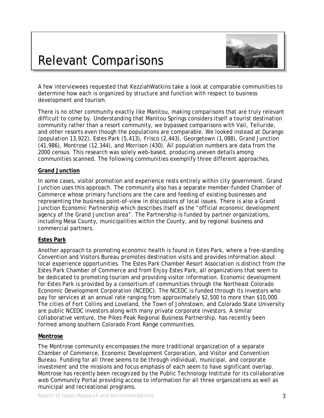# Relevant Comparisons



A few interviewees requested that KezziahWatkins take a look at comparable communities to determine how each is organized by structure and function with respect to business development and tourism.

There is no other community exactly like Manitou, making comparisons that are truly relevant difficult to come by. Understanding that Manitou Springs considers itself a tourist destination community rather than a resort community, we bypassed comparisons with Vail, Telluride, and other resorts even though the populations are comparable. We looked instead at Durango (population 13,922), Estes Park (5,413), Frisco (2,443), Georgetown (1,088), Grand Junction (41,986), Montrose (12,344), and Morrison (430). All population numbers are data from the 2000 census. This research was solely web-based, producing uneven details among communities scanned. The following communities exemplify three different approaches.

#### **Grand Junction**

In some cases, visitor promotion and experience rests entirely within city government. Grand Junction uses this approach. The community also has a separate member-funded Chamber of Commerce whose primary functions are the care and feeding of existing businesses and representing the business point-of-view in discussions of local issues. There is also a Grand Junction Economic Partnership which describes itself as the "official economic development agency of the Grand Junction area". The Partnership is funded by partner organizations, including Mesa County, municipalities within the County, and by regional business and commercial partners.

#### **Estes Park**

Another approach to promoting economic health is found in Estes Park, where a free-standing Convention and Visitors Bureau promotes destination visits and provides information about local experience opportunities. The Estes Park Chamber Resort Association is distinct from the Estes Park Chamber of Commerce and from Enjoy Estes Park, all organizations that seem to be dedicated to promoting tourism and providing visitor information. Economic development for Estes Park is provided by a consortium of communities through the Northeast Colorado Economic Development Corporation (NCEDC). The NCEDC is funded through its investors who pay for services at an annual rate ranging from approximately \$2,500 to more than \$10,000. The cities of Fort Collins and Loveland, the Town of Johnstown, and Colorado State University are public NCEDC investors along with many private corporate investors. A similar collaborative venture, the Pikes Peak Regional Business Partnership, has recently been formed among southern Colorado Front Range communities.

#### **Montrose**

The Montrose community encompasses the more traditional organization of a separate Chamber of Commerce, Economic Development Corporation, and Visitor and Convention Bureau. Funding for all three seems to be through individual, municipal, and corporate investment and the missions and focus emphasis of each seem to have significant overlap. Montrose has recently been recognized by the Public Technology Institute for its collaborative web Community Portal providing access to information for all three organizations as well as municipal and recreational programs.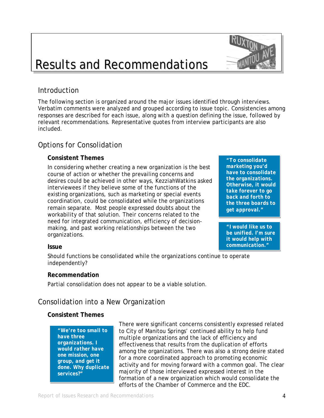# Results and Recommendations

# **Introduction**

The following section is organized around the major issues identified through interviews. Verbatim comments were analyzed and grouped according to issue topic. Consistencies among responses are described for each issue, along with a question defining the issue, followed by relevant recommendations. Representative quotes from interview participants are also included.

# Options for Consolidation

### **Consistent Themes**

 In considering whether creating a new organization is the best course of action or whether the prevailing concerns and desires could be achieved in other ways, KezziahWatkins asked interviewees if they believe some of the functions of the existing organizations, such as marketing or special events coordination, could be consolidated while the organizations remain separate. Most people expressed doubts about the workability of that solution. Their concerns related to the need for integrated communication, efficiency of decision making, and past working relationships between the two organizations.

*"To consolidate marketing you'd have to consolidate the organizations. Otherwise, it would take forever to go back and forth to the three boards to get approval."* 

*"I would like us to be unified. I'm sure it would help with communication."*

### **Issue**

Should functions be consolidated while the organizations continue to operate independently?

#### **Recommendation**

Partial consolidation does not appear to be a viable solution.

# Consolidation into a New Organization

### **Consistent Themes**

*"We're too small to have three organizations. I would rather have one mission, one group, and get it done. Why duplicate services?"* 

There were significant concerns consistently expressed related to City of Manitou Springs' continued ability to help fund multiple organizations and the lack of efficiency and effectiveness that results from the duplication of efforts among the organizations. There was also a strong desire stated for a more coordinated approach to promoting economic activity and for moving forward with a common goal. The clear majority of those interviewed expressed interest in the formation of a new organization which would consolidate the efforts of the Chamber of Commerce and the EDC.



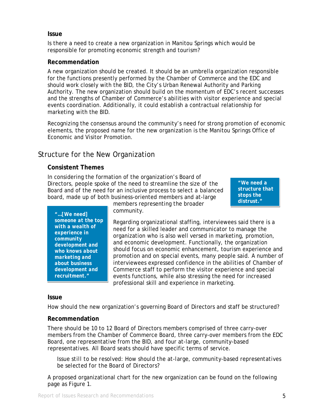#### **Issue**

 Is there a need to create a new organization in Manitou Springs which would be responsible for promoting economic strength and tourism?

#### **Recommendation**

A new organization should be created. It should be an umbrella organization responsible for the functions presently performed by the Chamber of Commerce and the EDC and should work closely with the BID, the City's Urban Renewal Authority and Parking Authority. The new organization should build on the momentum of EDC's recent successes and the strengths of Chamber of Commerce's abilities with visitor experience and special events coordination. Additionally, it could establish a contractual relationship for marketing with the BID.

 Recognizing the consensus around the community's need for strong promotion of economic elements, the proposed name for the new organization is the Manitou Springs Office of Economic and Visitor Promotion.

# Structure for the New Organization

#### **Consistent Themes**

 In considering the formation of the organization's Board of Directors, people spoke of the need to streamline the size of the Board and of the need for an inclusive process to select a balanced board, made up of both business-oriented members and at-large

*"We need a structure that stops the distrust."*

*"…[We need] someone at the top with a wealth of experience in community development and who knows about marketing and about business development and recruitment."* 

members representing the broader community.

Regarding organizational staffing, interviewees said there is a need for a skilled leader and communicator to manage the organization who is also well versed in marketing, promotion, and economic development. Functionally, the organization should focus on economic enhancement, tourism experience and promotion and on special events, many people said. A number of interviewees expressed confidence in the abilities of Chamber of Commerce staff to perform the visitor experience and special events functions, while also stressing the need for increased professional skill and experience in marketing.

#### **Issue**

How should the new organization's governing Board of Directors and staff be structured?

#### **Recommendation**

There should be 10 to 12 Board of Directors members comprised of three carry-over members from the Chamber of Commerce Board, three carry-over members from the EDC Board, one representative from the BID, and four at-large, community-based representatives. All Board seats should have specific terms of service.

 *Issue still to be resolved: How should the at-large, community-based representatives be selected for the Board of Directors?* 

 A proposed organizational chart for the new organization can be found on the following page as Figure 1.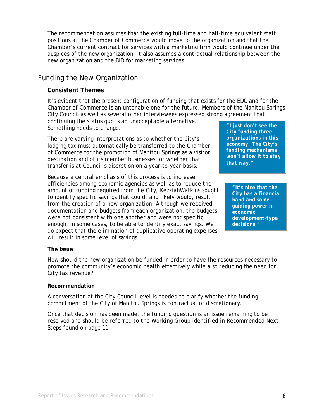The recommendation assumes that the existing full-time and half-time equivalent staff positions at the Chamber of Commerce would move to the organization and that the Chamber's current contract for services with a marketing firm would continue under the auspices of the new organization. It also assumes a contractual relationship between the new organization and the BID for marketing services.

# Funding the New Organization

#### **Consistent Themes**

It's evident that the present configuration of funding that exists for the EDC and for the Chamber of Commerce is an untenable one for the future. Members of the Manitou Springs City Council as well as several other interviewees expressed strong agreement that

continuing the status quo is an unacceptable alternative. Something needs to change.

There are varying interpretations as to whether the City's lodging tax must automatically be transferred to the Chamber of Commerce for the promotion of Manitou Springs as a visitor destination and of its member businesses, or whether that transfer is at Council's discretion on a year-to-year basis.

Because a central emphasis of this process is to increase efficiencies among economic agencies as well as to reduce the amount of funding required from the City, KezziahWatkins sought to identify specific savings that could, and likely would, result from the creation of a new organization. Although we received documentation and budgets from each organization, the budgets were not consistent with one another and were not specific enough, in some cases, to be able to identify exact savings. We do expect that the elimination of duplicative operating expenses will result in some level of savings.

*"I just don't see the City funding three organizations in this economy. The City's funding mechanisms won't allow it to stay that way."* 

*"It's nice that the City has a financial hand and some guiding power in economic development-type decisions."* 

#### **The Issue**

How should the new organization be funded in order to have the resources necessary to promote the community's economic health effectively while also reducing the need for City tax revenue?

#### **Recommendation**

A conversation at the City Council level is needed to clarify whether the funding commitment of the City of Manitou Springs is contractual or discretionary.

*Once that decision has been made, the funding question is an issue remaining to be resolved and should be referred to the Working Group identified in Recommended Next Steps found on page 11.*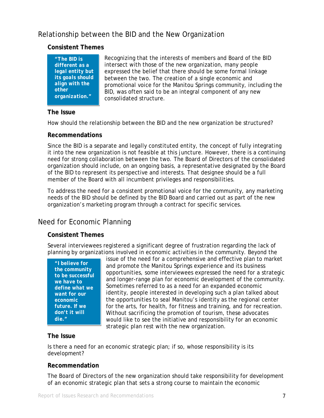# Relationship between the BID and the New Organization

### **Consistent Themes**

*"The BID is different as a legal entity but its goals should align with the other organization."* 

Recognizing that the interests of members and Board of the BID intersect with those of the new organization, many people expressed the belief that there should be some formal linkage between the two. The creation of a single economic and promotional voice for the Manitou Springs community, including the BID, was often said to be an integral component of any new consolidated structure.

#### **The Issue**

How should the relationship between the BID and the new organization be structured?

#### **Recommendations**

Since the BID is a separate and legally constituted entity, the concept of fully integrating it into the new organization is not feasible at this juncture. However, there is a continuing need for strong collaboration between the two. The Board of Directors of the consolidated organization should include, on an ongoing basis, a representative designated by the Board of the BID to represent its perspective and interests. That designee should be a full member of the Board with all incumbent privileges and responsibilities.

To address the need for a consistent promotional voice for the community, any marketing needs of the BID should be defined by the BID Board and carried out as part of the new organization's marketing program through a contract for specific services.

# Need for Economic Planning

#### **Consistent Themes**

Several interviewees registered a significant degree of frustration regarding the lack of planning by organizations involved in economic activities in the community. Beyond the

*"I believe for the community to be successful we have to define what we want for our economic future. If we don't it will die."* 

issue of the need for a comprehensive and effective plan to market and promote the Manitou Springs experience and its business opportunities, some interviewees expressed the need for a strategic and longer-range plan for economic development of the community. Sometimes referred to as a need for an expanded economic identity, people interested in developing such a plan talked about the opportunities to seal Manitou's identity as the regional center for the arts, for health, for fitness and training, and for recreation. Without sacrificing the promotion of tourism, these advocates would like to see the initiative and responsibility for an economic strategic plan rest with the new organization.

#### **The Issue**

Is there a need for an economic strategic plan; if so, whose responsibility is its development?

#### **Recommendation**

The Board of Directors of the new organization should take responsibility for development of an economic strategic plan that sets a strong course to maintain the economic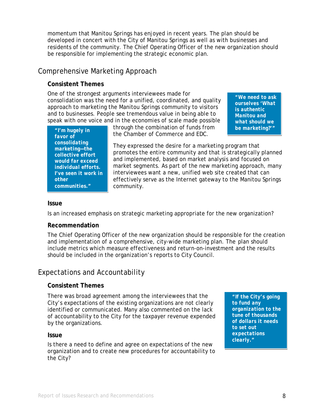momentum that Manitou Springs has enjoyed in recent years. The plan should be developed in concert with the City of Manitou Springs as well as with businesses and residents of the community. The Chief Operating Officer of the new organization should be responsible for implementing the strategic economic plan.

# Comprehensive Marketing Approach

### **Consistent Themes**

 One of the strongest arguments interviewees made for consolidation was the need for a unified, coordinated, and quality approach to marketing the Manitou Springs community to visitors and to businesses. People see tremendous value in being able to speak with one voice and in the economies of scale made possible

*"We need to ask ourselves 'What is authentic Manitou and what should we be marketing?'"* 

| "I'm hugely in<br>favor of<br>consolidating<br>marketing-the<br>collective effort<br>would far exceed<br><i>individual efforts.</i><br>I've seen it work in |
|-------------------------------------------------------------------------------------------------------------------------------------------------------------|
| other<br>communities."                                                                                                                                      |
|                                                                                                                                                             |

through the combination of funds from the Chamber of Commerce and EDC.

They expressed the desire for a marketing program that promotes the entire community and that is strategically planned and implemented, based on market analysis and focused on market segments. As part of the new marketing approach, many interviewees want a new, unified web site created that can effectively serve as the Internet gateway to the Manitou Springs community.

#### **Issue**

Is an increased emphasis on strategic marketing appropriate for the new organization?

#### **Recommendation**

The Chief Operating Officer of the new organization should be responsible for the creation and implementation of a comprehensive, city-wide marketing plan. The plan should include metrics which measure effectiveness and return-on-investment and the results should be included in the organization's reports to City Council.

# Expectations and Accountability

#### **Consistent Themes**

 There was broad agreement among the interviewees that the City's expectations of the existing organizations are not clearly identified or communicated. Many also commented on the lack of accountability to the City for the taxpayer revenue expended by the organizations.

#### **Issue**

 Is there a need to define and agree on expectations of the new organization and to create new procedures for accountability to the City?

*"If the City's going to fund any organization to the tune of thousands of dollars it needs to set out expectations clearly."*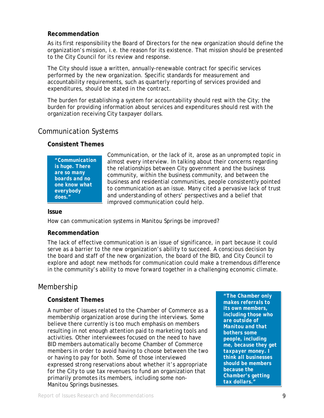#### **Recommendation**

 As its first responsibility the Board of Directors for the new organization should define the organization's mission, i.e. the reason for its existence. That mission should be presented to the City Council for its review and response.

 The City should issue a written, annually-renewable contract for specific services performed by the new organization. Specific standards for measurement and accountability requirements, such as quarterly reporting of services provided and expenditures, should be stated in the contract.

 The burden for establishing a system for accountability should rest with the City; the burden for providing information about services and expenditures should rest with the organization receiving City taxpayer dollars.

# Communication Systems

### **Consistent Themes**

*"Communication is huge. There are so many boards and no one know what everybody does."* 

Communication, or the lack of it, arose as an unprompted topic in almost every interview. In talking about their concerns regarding the relationships between City government and the business community, within the business community, and between the business and residential communities, people consistently pointed to communication as an issue. Many cited a pervasive lack of trust and understanding of others' perspectives and a belief that improved communication could help.

#### **Issue**

How can communication systems in Manitou Springs be improved?

#### **Recommendation**

The lack of effective communication is an issue of significance, in part because it could serve as a barrier to the new organization's ability to succeed. A conscious decision by the board and staff of the new organization, the board of the BID, and City Council to explore and adopt new methods for communication could make a tremendous difference in the community's ability to move forward together in a challenging economic climate.

# Membership

### **Consistent Themes**

 A number of issues related to the Chamber of Commerce as a membership organization arose during the interviews. Some believe there currently is too much emphasis on members resulting in not enough attention paid to marketing tools and activities. Other interviewees focused on the need to have BID members automatically become Chamber of Commerce members in order to avoid having to choose between the two or having to pay for both. Some of those interviewed expressed strong reservations about whether it's appropriate for the City to use tax revenues to fund an organization that primarily promotes its members, including some non- Manitou Springs businesses.

*"The Chamber only makes referrals to its own members, including those who are outside of Manitou and that bothers some people, including me, because they get taxpayer money. I think all businesses should be members because the Chamber's getting tax dollars."*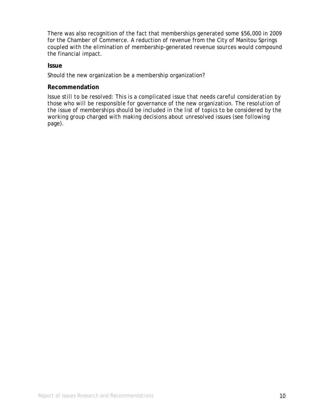There was also recognition of the fact that memberships generated some \$56,000 in 2009 for the Chamber of Commerce. A reduction of revenue from the City of Manitou Springs coupled with the elimination of membership-generated revenue sources would compound the financial impact.

#### **Issue**

Should the new organization be a membership organization?

#### **Recommendation**

*Issue still to be resolved: This is a complicated issue that needs careful consideration by those who will be responsible for governance of the new organization. The resolution of the issue of memberships should be included in the list of topics to be considered by the working group charged with making decisions about unresolved issues (see following page).*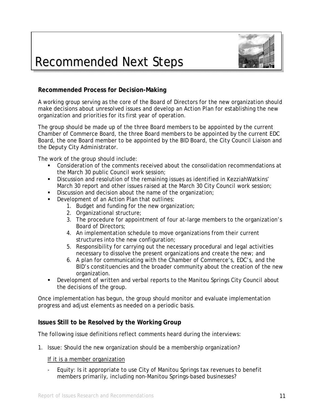

# Recommended Next Steps

### **Recommended Process for Decision-Making**

A working group serving as the core of the Board of Directors for the new organization should make decisions about unresolved issues and develop an Action Plan for establishing the new organization and priorities for its first year of operation.

The group should be made up of the three Board members to be appointed by the current Chamber of Commerce Board, the three Board members to be appointed by the current EDC Board, the one Board member to be appointed by the BID Board, the City Council Liaison and the Deputy City Administrator.

The work of the group should include:

- Consideration of the comments received about the consolidation recommendations at the March 30 public Council work session;
- Discussion and resolution of the remaining issues as identified in KezziahWatkins' March 30 report and other issues raised at the March 30 City Council work session;
- Discussion and decision about the name of the organization;
- Development of an Action Plan that outlines:
	- 1. Budget and funding for the new organization;
	- 2. Organizational structure;
	- 3. The procedure for appointment of four at-large members to the organization's Board of Directors;
	- 4. An implementation schedule to move organizations from their current structures into the new configuration;
	- 5. Responsibility for carrying out the necessary procedural and legal activities necessary to dissolve the present organizations and create the new; and
	- 6. A plan for communicating with the Chamber of Commerce's, EDC's, and the BID's constituencies and the broader community about the creation of the new organization.
- Development of written and verbal reports to the Manitou Springs City Council about the decisions of the group.

Once implementation has begun, the group should monitor and evaluate implementation progress and adjust elements as needed on a periodic basis.

#### **Issues Still to be Resolved by the Working Group**

The following issue definitions reflect comments heard during the interviews:

1. Issue: Should the new organization should be a membership organization?

If it is a member organization

- Equity: Is it appropriate to use City of Manitou Springs tax revenues to benefit members primarily, including non-Manitou Springs-based businesses?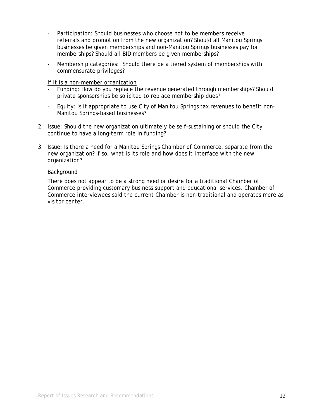- Participation: Should businesses who choose not to be members receive referrals and promotion from the new organization? Should all Manitou Springs businesses be given memberships and non-Manitou Springs businesses pay for memberships? Should all BID members be given memberships?
- Membership categories: Should there be a tiered system of memberships with commensurate privileges?

If it is a non-member organization

- Funding: How do you replace the revenue generated through memberships? Should private sponsorships be solicited to replace membership dues?
- Equity: Is it appropriate to use City of Manitou Springs tax revenues to benefit non- Manitou Springs-based businesses?
- 2. Issue: Should the new organization ultimately be self-sustaining or should the City continue to have a long-term role in funding?
- 3. Issue: Is there a need for a Manitou Springs Chamber of Commerce, separate from the new organization? If so, what is its role and how does it interface with the new organization?

#### Background

There does not appear to be a strong need or desire for a traditional Chamber of Commerce providing customary business support and educational services. Chamber of Commerce interviewees said the current Chamber is non-traditional and operates more as visitor center.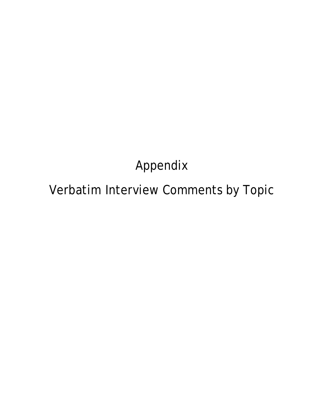# Appendix

# Verbatim Interview Comments by Topic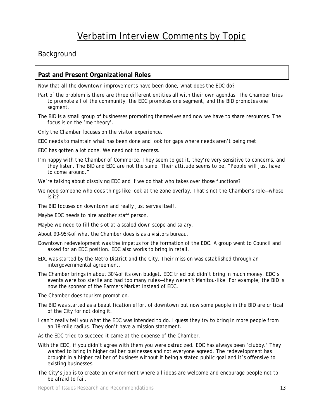## Background

#### **Past and Present Organizational Roles**

Now that all the downtown improvements have been done, what does the EDC do?

- Part of the problem is there are three different entities all with their own agendas. The Chamber tries to promote all of the community, the EDC promotes one segment, and the BID promotes one segment.
- The BID is a small group of businesses promoting themselves and now we have to share resources. The focus is on the 'me theory'.

Only the Chamber focuses on the visitor experience.

EDC needs to maintain what has been done and look for gaps where needs aren't being met.

EDC has gotten a lot done. We need not to regress.

- I'm happy with the Chamber of Commerce. They seem to get it, they're very sensitive to concerns, and they listen. The BID and EDC are not the same. Their attitude seems to be, "People will just have to come around."
- We're talking about dissolving EDC and if we do that who takes over those functions?
- We need someone who does things like look at the zone overlay. That's not the Chamber's role—whose is it?

The BID focuses on downtown and really just serves itself.

Maybe EDC needs to hire another staff person.

- Maybe we need to fill the slot at a scaled down scope and salary.
- About 90-95% of what the Chamber does is as a visitors bureau.
- Downtown redevelopment was the impetus for the formation of the EDC. A group went to Council and asked for an EDC position. EDC also works to bring in retail.
- EDC was started by the Metro District and the City. Their mission was established through an intergovernmental agreement.
- The Chamber brings in about 30% of its own budget. EDC tried but didn't bring in much money. EDC's events were too sterile and had too many rules—they weren't Manitou-like. For example, the BID is now the sponsor of the Farmers Market instead of EDC.

The Chamber does tourism promotion.

- The BID was started as a beautification effort of downtown but now some people in the BID are critical of the City for not doing it.
- I can't really tell you what the EDC was intended to do. I guess they try to bring in more people from an 18-mile radius. They don't have a mission statement.
- As the EDC tried to succeed it came at the expense of the Chamber.
- With the EDC, if you didn't agree with them you were ostracized. EDC has always been 'clubby.' They wanted to bring in higher caliber businesses and not everyone agreed. The redevelopment has brought in a higher caliber of business without it being a stated public goal and it's offensive to existing businesses.
- The City's job is to create an environment where all ideas are welcome and encourage people not to be afraid to fail.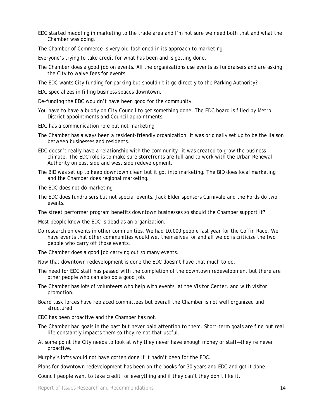- EDC started meddling in marketing to the trade area and I'm not sure we need both that and what the Chamber was doing.
- The Chamber of Commerce is very old-fashioned in its approach to marketing.
- Everyone's trying to take credit for what has been and is getting done.
- The Chamber does a good job on events. All the organizations use events as fundraisers and are asking the City to waive fees for events.
- The EDC wants City funding for parking but shouldn't it go directly to the Parking Authority?
- EDC specializes in filling business spaces downtown.
- De-funding the EDC wouldn't have been good for the community.
- You have to have a buddy on City Council to get something done. The EDC board is filled by Metro District appointments and Council appointments.
- EDC has a communication role but not marketing.
- The Chamber has always been a resident-friendly organization. It was originally set up to be the liaison between businesses and residents.
- EDC doesn't really have a relationship with the community—it was created to grow the business climate. The EDC role is to make sure storefronts are full and to work with the Urban Renewal Authority on east side and west side redevelopment.
- The BID was set up to keep downtown clean but it got into marketing. The BID does local marketing and the Chamber does regional marketing.
- The EDC does not do marketing.
- The EDC does fundraisers but not special events. Jack Elder sponsors Carnivale and the Fords do two events.
- The street performer program benefits downtown businesses so should the Chamber support it?
- Most people know the EDC is dead as an organization.
- Do research on events in other communities. We had 10,000 people last year for the Coffin Race. We have events that other communities would wet themselves for and all we do is criticize the two people who carry off those events.
- The Chamber does a good job carrying out so many events.
- Now that downtown redevelopment is done the EDC doesn't have that much to do.
- The need for EDC staff has passed with the completion of the downtown redevelopment but there are other people who can also do a good job.
- The Chamber has lots of volunteers who help with events, at the Visitor Center, and with visitor promotion.
- Board task forces have replaced committees but overall the Chamber is not well organized and structured.
- EDC has been proactive and the Chamber has not.
- The Chamber had goals in the past but never paid attention to them. Short-term goals are fine but real life constantly impacts them so they're not that useful.
- At some point the City needs to look at why they never have enough money or staff—they're never proactive.
- Murphy's lofts would not have gotten done if it hadn't been for the EDC.
- Plans for downtown redevelopment has been on the books for 30 years and EDC and got it done.
- Council people want to take credit for everything and if they can't they don't like it.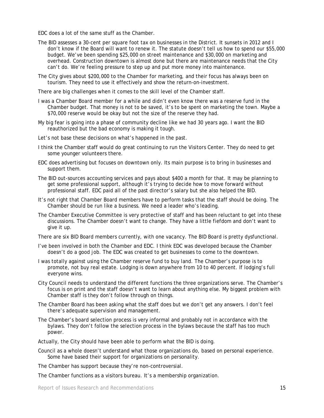EDC does a lot of the same stuff as the Chamber.

- The BID assesses a 30-cent per square foot tax on businesses in the District. It sunsets in 2012 and I don't know if the Board will want to renew it. The statute doesn't tell us how to spend our \$55,000 budget. We've been spending \$25,000 on street maintenance and \$30,000 on marketing and overhead. Construction downtown is almost done but there are maintenance needs that the City can't do. We're feeling pressure to step up and put more money into maintenance.
- The City gives about \$200,000 to the Chamber for marketing, and their focus has always been on tourism. They need to use it effectively and show the return-on-investment.

There are big challenges when it comes to the skill level of the Chamber staff.

- I was a Chamber Board member for a while and didn't even know there was a reserve fund in the Chamber budget. That money is not to be saved, it's to be spent on marketing the town. Maybe a \$70,000 reserve would be okay but not the size of the reserve they had.
- My big fear is going into a phase of community decline like we had 30 years ago. I want the BID reauthorized but the bad economy is making it tough.
- Let's not base these decisions on what's happened in the past.
- I think the Chamber staff would do great continuing to run the Visitors Center. They do need to get some younger volunteers there.
- EDC does advertising but focuses on downtown only. Its main purpose is to bring in businesses and support them.
- The BID out-sources accounting services and pays about \$400 a month for that. It may be planning to get some professional support, although it's trying to decide how to move forward without professional staff. EDC paid all of the past director's salary but she also helped the BID.
- It's not right that Chamber Board members have to perform tasks that the staff should be doing. The Chamber should be run like a business. We need a leader who's leading.
- The Chamber Executive Committee is very protective of staff and has been reluctant to get into these discussions. The Chamber doesn't want to change. They have a little fiefdom and don't want to give it up.

There are six BID Board members currently, with one vacancy. The BID Board is pretty dysfunctional.

- I've been involved in both the Chamber and EDC. I think EDC was developed because the Chamber doesn't do a good job. The EDC was created to get businesses to come to the downtown.
- I was totally against using the Chamber reserve fund to buy land. The Chamber's purpose is to promote, not buy real estate. Lodging is down anywhere from 10 to 40 percent. If lodging's full everyone wins.
- City Council needs to understand the different functions the three organizations serve. The Chamber's focus is on print and the staff doesn't want to learn about anything else. My biggest problem with Chamber staff is they don't follow through on things.
- The Chamber Board has been asking what the staff does but we don't get any answers. I don't feel there's adequate supervision and management.
- The Chamber's board selection process is very informal and probably not in accordance with the bylaws. They don't follow the selection process in the bylaws because the staff has too much power.

Actually, the City should have been able to perform what the BID is doing.

Council as a whole doesn't understand what those organizations do, based on personal experience. Some have based their support for organizations on personality.

The Chamber has support because they're non-controversial.

The Chamber functions as a visitors bureau. It's a membership organization.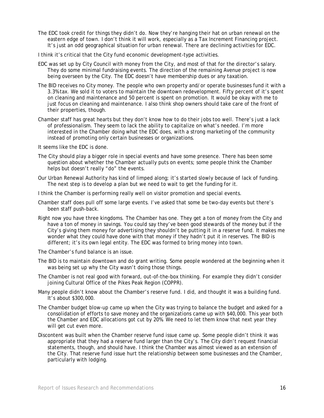- The EDC took credit for things they didn't do. Now they're hanging their hat on urban renewal on the eastern edge of town. I don't think it will work, especially as a Tax Increment Financing project. It's just an odd geographical situation for urban renewal. There are declining activities for EDC.
- I think it's critical that the City fund economic development-type activities.
- EDC was set up by City Council with money from the City, and most of that for the director's salary. They do some minimal fundraising events. The direction of the remaining Avenue project is now being overseen by the City. The EDC doesn't have membership dues or any taxation.
- The BID receives no City money. The people who own property and/or operate businesses fund it with a 3.3% tax. We sold it to voters to maintain the downtown redevelopment. Fifty percent of it's spent on cleaning and maintenance and 50 percent is spent on promotion. It would be okay with me to just focus on cleaning and maintenance. I also think shop owners should take care of the front of their properties, though.
- Chamber staff has great hearts but they don't know how to do their jobs too well. There's just a lack of professionalism. They seem to lack the ability to capitalize on what's needed. I'm more interested in the Chamber doing what the EDC does, with a strong marketing of the community instead of promoting only certain businesses or organizations.

It seems like the EDC is done.

- The City should play a bigger role in special events and have some presence. There has been some question about whether the Chamber actually puts on events; some people think the Chamber helps but doesn't really "do" the events.
- Our Urban Renewal Authority has kind of limped along; it's started slowly because of lack of funding. The next step is to develop a plan but we need to wait to get the funding for it.
- I think the Chamber is performing really well on visitor promotion and special events.
- Chamber staff does pull off some large events. I've asked that some be two-day events but there's been staff push-back.
- Right now you have three kingdoms. The Chamber has one. They get a ton of money from the City and have a ton of money in savings. You could say they've been good stewards of the money but if the City's giving them money for advertising they shouldn't be putting it in a reserve fund. It makes me wonder what they could have done with that money if they hadn't put it in reserves. The BID is different; it's its own legal entity. The EDC was formed to bring money into town.
- The Chamber's fund balance is an issue.
- The BID is to maintain downtown and do grant writing. Some people wondered at the beginning when it was being set up why the City wasn't doing those things.
- The Chamber is not real good with forward, out-of-the-box thinking. For example they didn't consider joining Cultural Office of the Pikes Peak Region (COPPR).
- Many people didn't know about the Chamber's reserve fund. I did, and thought it was a building fund. It's about \$300,000.
- The Chamber budget blow-up came up when the City was trying to balance the budget and asked for a consolidation of efforts to save money and the organizations came up with \$40,000. This year both the Chamber and EDC allocations got cut by 20%. We need to let them know that next year they will get cut even more.
- Discontent was built when the Chamber reserve fund issue came up. Some people didn't think it was appropriate that they had a reserve fund larger than the City's. The City didn't request financial statements, though, and should have. I think the Chamber was almost viewed as an extension of the City. That reserve fund issue hurt the relationship between some businesses and the Chamber, particularly with lodging.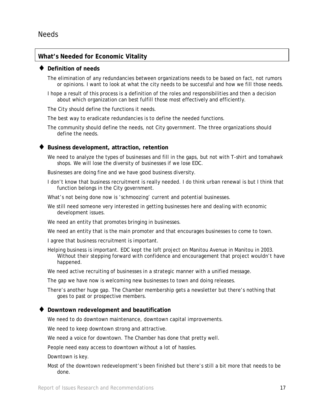#### **What's Needed for Economic Vitality**

#### ♦ **Definition of needs**

The elimination of any redundancies between organizations needs to be based on fact, not rumors or opinions. I want to look at what the city needs to be successful and how we fill those needs.

I hope a result of this process is a definition of the roles and responsibilities and then a decision about which organization can best fulfill those most effectively and efficiently.

The City should define the functions it needs.

The best way to eradicate redundancies is to define the needed functions.

The community should define the needs, not City government. The three organizations should define the needs.

#### Business development, attraction, retention

We need to analyze the types of businesses and fill in the gaps, but not with T-shirt and tomahawk shops. We will lose the diversity of businesses if we lose EDC.

Businesses are doing fine and we have good business diversity.

I don't know that business recruitment is really needed. I do think urban renewal is but I think that function belongs in the City government.

What's not being done now is 'schmoozing' current and potential businesses.

We still need someone very interested in getting businesses here and dealing with economic development issues.

We need an entity that promotes bringing in businesses.

We need an entity that is the main promoter and that encourages businesses to come to town.

I agree that business recruitment is important.

Helping business is important. EDC kept the loft project on Manitou Avenue in Manitou in 2003. Without their stepping forward with confidence and encouragement that project wouldn't have happened.

We need active recruiting of businesses in a strategic manner with a unified message.

The gap we have now is welcoming new businesses to town and doing releases.

There's another huge gap. The Chamber membership gets a newsletter but there's nothing that goes to past or prospective members.

#### **Downtown redevelopment and beautification**

We need to do downtown maintenance, downtown capital improvements.

We need to keep downtown strong and attractive.

We need a voice for downtown. The Chamber has done that pretty well.

People need easy access to downtown without a lot of hassles.

Downtown is key.

Most of the downtown redevelopment's been finished but there's still a bit more that needs to be done.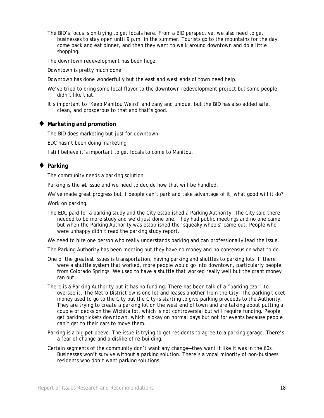The BID's focus is on trying to get locals here. From a BID perspective, we also need to get businesses to stay open until 9 p.m. in the summer. Tourists go to the mountains for the day, come back and eat dinner, and then they want to walk around downtown and do a little shopping.

The downtown redevelopment has been huge.

Downtown is pretty much done.

Downtown has done wonderfully but the east and west ends of town need help.

- We've tried to bring some local flavor to the downtown redevelopment project but some people didn't like that.
- It's important to 'Keep Manitou Weird' and zany and unique, but the BID has also added safe, clean, and prosperous to that and that's good.

#### **Marketing and promotion**

The BID does marketing but just for downtown.

EDC hasn't been doing marketing.

I still believe it's important to get locals to come to Manitou.

#### **Parking**

The community needs a parking solution.

Parking is the #1 issue and we need to decide how that will be handled.

We've made great progress but if people can't park and take advantage of it, what good will it do?

Work on parking.

The EDC paid for a parking study and the City established a Parking Authority. The City said there needed to be more study and we'd just done one. They had public meetings and no one came but when the Parking Authority was established the 'squeaky wheels' came out. People who were unhappy didn't read the parking study report.

We need to hire one person who really understands parking and can professionally lead the issue.

The Parking Authority has been meeting but they have no money and no consensus on what to do.

- One of the greatest issues is transportation, having parking and shuttles to parking lots. If there were a shuttle system that worked, more people would go into downtown, particularly people from Colorado Springs. We used to have a shuttle that worked really well but the grant money ran out.
- There is a Parking Authority but it has no funding. There has been talk of a "parking czar" to oversee it. The Metro District owns one lot and leases another from the City. The parking ticket money used to go to the City but the City is starting to give parking proceeds to the Authority. They are trying to create a parking lot on the west end of town and are talking about putting a couple of decks on the Wichita lot, which is not controversial but will require funding. People get parking tickets downtown, which is okay on normal days but not for events because people can't get to their cars to move them.
- Parking is a big pet peeve. The issue is trying to get residents to agree to a parking garage. There's a fear of change and a dislike of re-building.
- Certain segments of the community don't want any change—they want it like it was in the 60s. Businesses won't survive without a parking solution. There's a vocal minority of non-business residents who don't want parking solutions.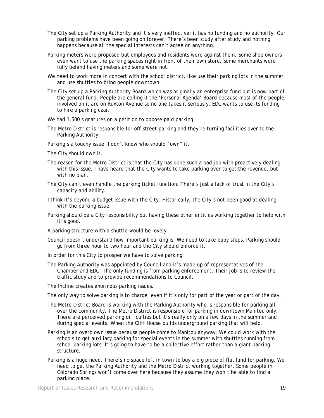- The City set up a Parking Authority and it's very ineffective; it has no funding and no authority. Our parking problems have been going on forever. There's been study after study and nothing happens because all the special interests can't agree on anything.
- Parking meters were proposed but employees and residents were against them. Some shop owners even want to use the parking spaces right in front of their own store. Some merchants were fully behind having meters and some were not.
- We need to work more in concert with the school district, like use their parking lots in the summer and use shuttles to bring people downtown.
- The City set up a Parking Authority Board which was originally an enterprise fund but is now part of the general fund. People are calling it the 'Personal Agenda' Board because most of the people involved on it are on Ruxton Avenue so no one takes it seriously. EDC wants to use its funding to hire a parking czar.
- We had 1,500 signatures on a petition to oppose paid parking.
- The Metro District is responsible for off-street parking and they're turning facilities over to the Parking Authority.
- Parking's a touchy issue. I don't know who should "own" it.
- The City should own it.
- The reason for the Metro District is that the City has done such a bad job with proactively dealing with this issue. I have heard that the City wants to take parking over to get the revenue, but with no plan.
- The City can't even handle the parking ticket function. There's just a lack of trust in the City's capacity and ability.
- I think it's beyond a budget issue with the City. Historically, the City's not been good at dealing with the parking issue.
- Parking should be a City responsibility but having these other entities working together to help with it is good.
- A parking structure with a shuttle would be lovely.
- Council doesn't understand how important parking is. We need to take baby steps. Parking should go from three hour to two hour and the City should enforce it.
- In order for this City to prosper we have to solve parking.
- The Parking Authority was appointed by Council and it's made up of representatives of the Chamber and EDC. The only funding is from parking enforcement. Their job is to review the traffic study and to provide recommendations to Council.
- The Incline creates enormous parking issues.
- The only way to solve parking is to charge, even if it's only for part of the year or part of the day.
- The Metro District Board is working with the Parking Authority who is responsible for parking all over the community. The Metro District is responsible for parking in downtown Manitou only. There are perceived parking difficulties but it's really only on a few days in the summer and during special events. When the Cliff House builds underground parking that will help.
- Parking is an overblown issue because people come to Manitou anyway. We could work with the schools to get auxiliary parking for special events in the summer with shuttles running from school parking lots. It's going to have to be a collective effort rather than a giant parking structure.
- Parking is a huge need. There's no space left in town to buy a big piece of flat land for parking. We need to get the Parking Authority and the Metro District working together. Some people in Colorado Springs won't come over here because they assume they won't be able to find a parking place.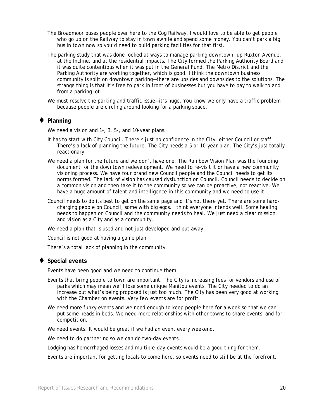- The Broadmoor buses people over here to the Cog Railway. I would love to be able to get people who go up on the Railway to stay in town awhile and spend some money. You can't park a big bus in town now so you'd need to build parking facilities for that first.
- The parking study that was done looked at ways to manage parking downtown, up Ruxton Avenue, at the Incline, and at the residential impacts. The City formed the Parking Authority Board and it was quite contentious when it was put in the General Fund. The Metro District and the Parking Authority are working together, which is good. I think the downtown business community is split on downtown parking—there are upsides and downsides to the solutions. The strange thing is that it's free to park in front of businesses but you have to pay to walk to and from a parking lot.
- We must resolve the parking and traffic issue—it's huge. You know we only have a traffic problem because people are circling around looking for a parking space.

#### ♦ **Planning**

We need a vision and 1-, 3, 5-, and 10-year plans.

- It has to start with City Council. There's just no confidence in the City, either Council or staff. There's a lack of planning the future. The City needs a 5 or 10-year plan. The City's just totally reactionary.
- We need a plan for the future and we don't have one. The Rainbow Vision Plan was the founding document for the downtown redevelopment. We need to re-visit it or have a new community visioning process. We have four brand new Council people and the Council needs to get its norms formed. The lack of vision has caused dysfunction on Council. Council needs to decide on a common vision and then take it to the community so we can be proactive, not reactive. We have a huge amount of talent and intelligence in this community and we need to use it.
- Council needs to do its best to get on the same page and it's not there yet. There are some hardcharging people on Council, some with big egos. I think everyone intends well. Some healing needs to happen on Council and the community needs to heal. We just need a clear mission and vision as a City and as a community.

We need a plan that is used and not just developed and put away.

Council is not good at having a game plan.

There's a total lack of planning in the community.

#### **Special events**

Events have been good and we need to continue them.

- Events that bring people to town are important. The City is increasing fees for vendors and use of parks which may mean we'll lose some unique Manitou events. The City needed to do an increase but what's being proposed is just too much. The City has been very good at working with the Chamber on events. Very few events are for profit.
- We need more funky events and we need enough to keep people here for a week so that we can put some heads in beds. We need more relationships with other towns to share events and for competition.

We need events. It would be great if we had an event every weekend.

We need to do partnering so we can do two-day events.

Lodging has hemorrhaged losses and multiple-day events would be a good thing for them.

Events are important for getting locals to come here, so events need to still be at the forefront.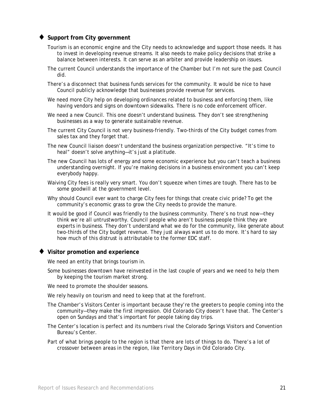#### **Support from City government**

- Tourism is an economic engine and the City needs to acknowledge and support those needs. It has to invest in developing revenue streams. It also needs to make policy decisions that strike a balance between interests. It can serve as an arbiter and provide leadership on issues.
- The current Council understands the importance of the Chamber but I'm not sure the past Council did.
- There's a disconnect that business funds services for the community. It would be nice to have Council publicly acknowledge that businesses provide revenue for services.
- We need more City help on developing ordinances related to business and enforcing them, like having vendors and signs on downtown sidewalks. There is no code enforcement officer.
- We need a new Council. This one doesn't understand business. They don't see strengthening businesses as a way to generate sustainable revenue.
- The current City Council is not very business-friendly. Two-thirds of the City budget comes from sales tax and they forget that.
- The new Council liaison doesn't understand the business organization perspective. "It's time to heal" doesn't solve anything—it's just a platitude.
- The new Council has lots of energy and some economic experience but you can't teach a business understanding overnight. If you're making decisions in a business environment you can't keep everybody happy.
- Waiving City fees is really very smart. You don't squeeze when times are tough. There has to be some goodwill at the government level.
- Why should Council ever want to charge City fees for things that create civic pride? To get the community's economic grass to grow the City needs to provide the manure.
- It would be good if Council was friendly to the business community. There's no trust now—they think we're all untrustworthy. Council people who aren't business people think they are experts in business. They don't understand what we do for the community, like generate about two-thirds of the City budget revenue. They just always want us to do more. It's hard to say how much of this distrust is attributable to the former EDC staff.

#### ♦ **Visitor promotion and experience**

We need an entity that brings tourism in.

Some businesses downtown have reinvested in the last couple of years and we need to help them by keeping the tourism market strong.

We need to promote the shoulder seasons.

We rely heavily on tourism and need to keep that at the forefront.

- The Chamber's Visitors Center is important because they're the greeters to people coming into the community—they make the first impression. Old Colorado City doesn't have that. The Center's open on Sundays and that's important for people taking day trips.
- The Center's location is perfect and its numbers rival the Colorado Springs Visitors and Convention Bureau's Center.
- Part of what brings people to the region is that there are lots of things to do. There's a lot of crossover between areas in the region, like Territory Days in Old Colorado City.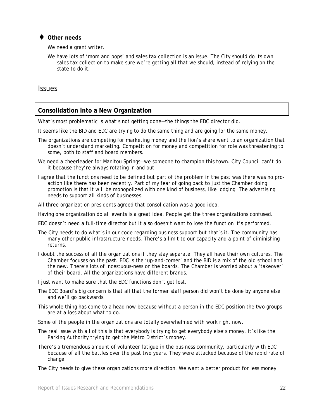#### **Other needs**

We need a grant writer.

We have lots of 'mom and pops' and sales tax collection is an issue. The City should do its own sales tax collection to make sure we're getting all that we should, instead of relying on the state to do it.

#### Issues

#### **Consolidation into a New Organization**

What's most problematic is what's not getting done—the things the EDC director did.

It seems like the BID and EDC are trying to do the same thing and are going for the same money.

- The organizations are competing for marketing money and the lion's share went to an organization that doesn't understand marketing. Competition for money and competition for role was threatening to some, both to staff and board members.
- We need a cheerleader for Manitou Springs—we someone to champion this town. City Council can't do it because they're always rotating in and out.
- I agree that the functions need to be defined but part of the problem in the past was there was no proaction like there has been recently. Part of my fear of going back to just the Chamber doing promotion is that it will be monopolized with one kind of business, like lodging. The advertising needs to support all kinds of businesses.
- All three organization presidents agreed that consolidation was a good idea.
- Having one organization do all events is a great idea. People get the three organizations confused.
- EDC doesn't need a full-time director but it also doesn't want to lose the function it's performed.
- The City needs to do what's in our code regarding business support but that's it. The community has many other public infrastructure needs. There's a limit to our capacity and a point of diminishing returns.
- I doubt the success of all the organizations if they stay separate. They all have their own cultures. The Chamber focuses on the past. EDC is the 'up-and-comer' and the BID is a mix of the old school and the new. There's lots of incestuous-ness on the boards. The Chamber is worried about a 'takeover' of their board. All the organizations have different brands.

I just want to make sure that the EDC functions don't get lost*.*

- The EDC Board's big concern is that all that the former staff person did won't be done by anyone else and we'll go backwards.
- This whole thing has come to a head now because without a person in the EDC position the two groups are at a loss about what to do.
- Some of the people in the organizations are totally overwhelmed with work right now.
- The real issue with all of this is that everybody is trying to get everybody else's money. It's like the Parking Authority trying to get the Metro District's money.
- There's a tremendous amount of volunteer fatigue in the business community, particularly with EDC because of all the battles over the past two years. They were attacked because of the rapid rate of change.
- The City needs to give these organizations more direction. We want a better product for less money.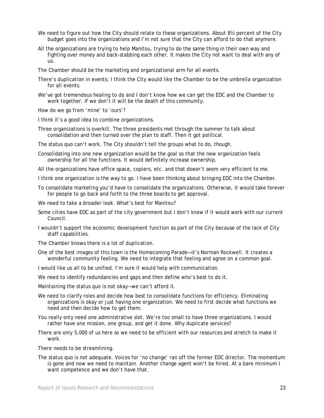- We need to figure out how the City should relate to these organizations. About 8½ percent of the City budget goes into the organizations and I'm not sure that the City can afford to do that anymore.
- All the organizations are trying to help Manitou, trying to do the same thing in their own way and fighting over money and back-stabbing each other. It makes the City not want to deal with any of us.

The Chamber should be the marketing and organizational arm for all events.

- There's duplication in events; I think the City would like the Chamber to be the umbrella organization for all events.
- We've got tremendous healing to do and I don't know how we can get the EDC and the Chamber to work together. If we don't it will be the death of this community.

How do we go from 'mine' to 'ours'?

- I think it's a good idea to combine organizations.
- Three organizations is overkill. The three presidents met through the summer to talk about consolidation and then turned over the plan to staff. Then it got political.
- The status quo can't work. The City shouldn't tell the groups what to do, though.
- Consolidating into one new organization would be the goal so that the new organization feels ownership for all the functions. It would definitely increase ownership.
- All the organizations have office space, copiers, etc. and that doesn't seem very efficient to me.
- I think one organization is the way to go. I have been thinking about bringing EDC into the Chamber.
- To consolidate marketing you'd have to consolidate the organizations. Otherwise, it would take forever for people to go back and forth to the three boards to get approval.
- We need to take a broader look. What's best for Manitou?
- Some cities have EDC as part of the city government but I don't know if it would work with our current Council.
- I wouldn't support the economic development function as part of the City because of the lack of City staff capabilities.
- The Chamber knows there is a lot of duplication.
- One of the best images of this town is the Homecoming Parade—it's Norman Rockwell. It creates a wonderful community feeling. We need to integrate that feeling and agree on a common goal.
- I would like us all to be unified. I'm sure it would help with communication.
- We need to identify redundancies and gaps and then define who's best to do it.
- Maintaining the status quo is not okay—we can't afford it.
- We need to clarify roles and decide how best to consolidate functions for efficiency. Eliminating organizations is okay or just having one organization. We need to first decide what functions we need and then decide how to get them.
- You really only need one administrative slot. We're too small to have three organizations. I would rather have one mission, one group, and get it done. Why duplicate services?
- There are only 5,000 of us here so we need to be efficient with our resources and stretch to make it work.
- There needs to be streamlining.
- The status quo is not adequate. Voices for 'no change' ran off the former EDC director. The momentum is gone and now we need to maintain. Another change agent won't be hired. At a bare minimum I want competence and we don't have that.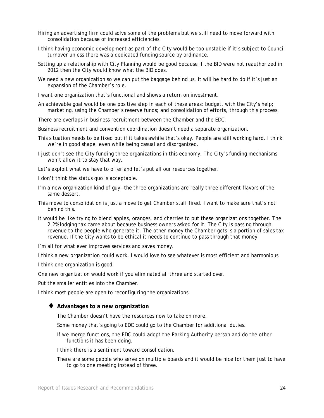- Hiring an advertising firm could solve some of the problems but we still need to move forward with consolidation because of increased efficiencies.
- I think having economic development as part of the City would be too unstable if it's subject to Council turnover unless there was a dedicated funding source by ordinance.
- Setting up a relationship with City Planning would be good because if the BID were not reauthorized in 2012 then the City would know what the BID does.
- We need a new organization so we can put the baggage behind us. It will be hard to do if it's just an expansion of the Chamber's role.
- I want one organization that's functional and shows a return on investment.
- An achievable goal would be one positive step in each of these areas: budget, with the City's help; marketing, using the Chamber's reserve funds; and consolidation of efforts, through this process.
- There are overlaps in business recruitment between the Chamber and the EDC.
- Business recruitment and convention coordination doesn't need a separate organization.
- This situation needs to be fixed but if it takes awhile that's okay. People are still working hard. I think we're in good shape, even while being casual and disorganized.
- I just don't see the City funding three organizations in this economy. The City's funding mechanisms won't allow it to stay that way.
- Let's exploit what we have to offer and let's put all our resources together.
- I don't think the status quo is acceptable.
- I'm a new organization kind of guy—the three organizations are really three different flavors of the same dessert.
- This move to consolidation is just a move to get Chamber staff fired. I want to make sure that's not behind this.
- It would be like trying to blend apples, oranges, and cherries to put these organizations together. The 2.2% lodging tax came about because business owners asked for it. The City is passing through revenue to the people who generate it. The other money the Chamber gets is a portion of sales tax revenue. If the City wants to be ethical it needs to continue to pass through that money.
- I'm all for what ever improves services and saves money.
- I think a new organization could work. I would Iove to see whatever is most efficient and harmonious.
- I think one organization is good.
- One new organization would work if you eliminated all three and started over.
- Put the smaller entities into the Chamber.
- I think most people are open to reconfiguring the organizations.

#### ♦ **Advantages to a new organization**

- The Chamber doesn't have the resources now to take on more.
- Some money that's going to EDC could go to the Chamber for additional duties.
- If we merge functions, the EDC could adopt the Parking Authority person and do the other functions it has been doing.
- I think there is a sentiment toward consolidation.
- There are some people who serve on multiple boards and it would be nice for them just to have to go to one meeting instead of three.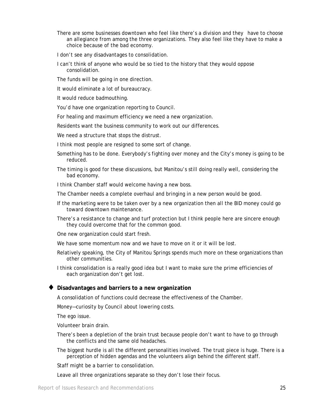- There are some businesses downtown who feel like there's a division and they have to choose an allegiance from among the three organizations. They also feel like they have to make a choice because of the bad economy.
- I don't see any disadvantages to consolidation.
- I can't think of anyone who would be so tied to the history that they would oppose consolidation.
- The funds will be going in one direction.
- It would eliminate a lot of bureaucracy.
- It would reduce badmouthing.
- You'd have one organization reporting to Council.
- For healing and maximum efficiency we need a new organization.
- Residents want the business community to work out our differences.
- We need a structure that stops the distrust.
- I think most people are resigned to some sort of change.
- Something has to be done. Everybody's fighting over money and the City's money is going to be reduced.
- The timing is good for these discussions, but Manitou's still doing really well, considering the bad economy.
- I think Chamber staff would welcome having a new boss.
- The Chamber needs a complete overhaul and bringing in a new person would be good.
- If the marketing were to be taken over by a new organization then all the BID money could go toward downtown maintenance.
- There's a resistance to change and turf protection but I think people here are sincere enough they could overcome that for the common good.
- One new organization could start fresh.
- We have some momentum now and we have to move on it or it will be lost.
- Relatively speaking, the City of Manitou Springs spends much more on these organizations than other communities.
- I think consolidation is a really good idea but I want to make sure the prime efficiencies of each organization don't get lost.

#### ♦ **Disadvantages and barriers to a new organization**

A consolidation of functions could decrease the effectiveness of the Chamber.

Money—curiosity by Council about lowering costs.

The ego issue.

- Volunteer brain drain.
- There's been a depletion of the brain trust because people don't want to have to go through the conflicts and the same old headaches.
- The biggest hurdle is all the different personalities involved. The trust piece is huge. There is a perception of hidden agendas and the volunteers align behind the different staff.

Staff might be a barrier to consolidation.

Leave all three organizations separate so they don't lose their focus.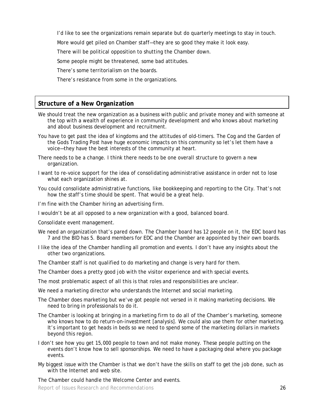I'd like to see the organizations remain separate but do quarterly meetings to stay in touch.

More would get piled on Chamber staff—they are so good they make it look easy.

There will be political opposition to shutting the Chamber down.

Some people might be threatened, some bad attitudes.

There's some territorialism on the boards.

There's resistance from some in the organizations.

#### **Structure of a New Organization**

- We should treat the new organization as a business with public and private money and with someone at the top with a wealth of experience in community development and who knows about marketing and about business development and recruitment.
- You have to get past the idea of kingdoms and the attitudes of old-timers. The Cog and the Garden of the Gods Trading Post have huge economic impacts on this community so let's let them have a voice—they have the best interests of the community at heart.
- There needs to be a change. I think there needs to be one overall structure to govern a new organization.
- I want to re-voice support for the idea of consolidating administrative assistance in order not to lose what each organization shines at.
- You could consolidate administrative functions, like bookkeeping and reporting to the City. That's not how the staff's time should be spent. That would be a great help.
- I'm fine with the Chamber hiring an advertising firm.
- I wouldn't be at all opposed to a new organization with a good, balanced board.
- Consolidate event management.
- We need an organization that's pared down. The Chamber board has 12 people on it, the EDC board has 7 and the BID has 5. Board members for EDC and the Chamber are appointed by their own boards.
- I like the idea of the Chamber handling all promotion and events. I don't have any insights about the other two organizations.
- The Chamber staff is not qualified to do marketing and change is very hard for them.
- The Chamber does a pretty good job with the visitor experience and with special events.
- The most problematic aspect of all this is that roles and responsibilities are unclear.
- We need a marketing director who understands the Internet and social marketing.
- The Chamber does marketing but we've got people not versed in it making marketing decisions. We need to bring in professionals to do it.
- The Chamber is looking at bringing in a marketing firm to do all of the Chamber's marketing, someone who knows how to do return-on-investment [analysis]. We could also use them for other marketing. It's important to get heads in beds so we need to spend some of the marketing dollars in markets beyond this region.
- I don't see how you get 15,000 people to town and not make money. These people putting on the events don't know how to sell sponsorships. We need to have a packaging deal where you package events.
- My biggest issue with the Chamber is that we don't have the skills on staff to get the job done, such as with the Internet and web site.

The Chamber could handle the Welcome Center and events.

Report of Issues Research and Recommendations **26** 26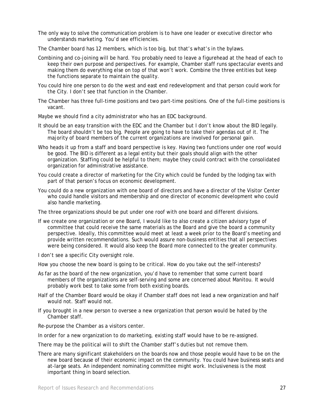- The only way to solve the communication problem is to have one leader or executive director who understands marketing. You'd see efficiencies.
- The Chamber board has 12 members, which is too big, but that's what's in the bylaws.
- Combining and co-joining will be hard. You probably need to leave a figurehead at the head of each to keep their own purpose and perspectives. For example, Chamber staff runs spectacular events and making them do everything else on top of that won't work. Combine the three entities but keep the functions separate to maintain the quality.
- You could hire one person to do the west and east end redevelopment and that person could work for the City. I don't see that function in the Chamber.
- The Chamber has three full-time positions and two part-time positions. One of the full-time positions is vacant.
- Maybe we should find a city administrator who has an EDC background.
- It should be an easy transition with the EDC and the Chamber but I don't know about the BID legally. The board shouldn't be too big. People are going to have to take their agendas out of it. The majority of board members of the current organizations are involved for personal gain.
- Who heads it up from a staff and board perspective is key. Having two functions under one roof would be good. The BID is different as a legal entity but their goals should align with the other organization. Staffing could be helpful to them; maybe they could contract with the consolidated organization for administrative assistance.
- You could create a director of marketing for the City which could be funded by the lodging tax with part of that person's focus on economic development.
- You could do a new organization with one board of directors and have a director of the Visitor Center who could handle visitors and membership and one director of economic development who could also handle marketing.

The three organizations should be put under one roof with one board and different divisions.

- If we create one organization or one Board, I would like to also create a citizen advisory type of committee that could receive the same materials as the Board and give the board a community perspective. Ideally, this committee would meet at least a week prior to the Board's meeting and provide written recommendations. Such would assure non-business entities that all perspectives were being considered. It would also keep the Board more connected to the greater community.
- I don't see a specific City oversight role.

How you choose the new board is going to be critical. How do you take out the self-interests?

- As far as the board of the new organization, you'd have to remember that some current board members of the organizations are self-serving and some are concerned about Manitou. It would probably work best to take some from both existing boards.
- Half of the Chamber Board would be okay if Chamber staff does not lead a new organization and half would not. Staff would not.
- If you brought in a new person to oversee a new organization that person would be hated by the Chamber staff.

Re-purpose the Chamber as a visitors center.

In order for a new organization to do marketing, existing staff would have to be re-assigned.

There may be the political will to shift the Chamber staff's duties but not remove them.

There are many significant stakeholders on the boards now and those people would have to be on the new board because of their economic impact on the community. You could have business seats and at-large seats. An independent nominating committee might work. Inclusiveness is the most important thing in board selection.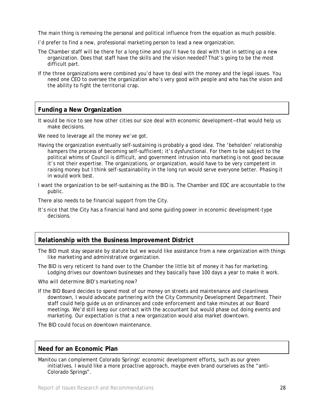The main thing is removing the personal and political influence from the equation as much possible.

- I'd prefer to find a new, professional marketing person to lead a new organization.
- The Chamber staff will be there for a long time and you'll have to deal with that in setting up a new organization. Does that staff have the skills and the vision needed? That's going to be the most difficult part.
- If the three organizations were combined you'd have to deal with the money and the legal issues. You need one CEO to oversee the organization who's very good with people and who has the vision and the ability to fight the territorial crap.

#### **Funding a New Organization**

It would be nice to see how other cities our size deal with economic development—that would help us make decisions.

We need to leverage all the money we've got.

- Having the organization eventually self-sustaining is probably a good idea. The 'beholden' relationship hampers the process of becoming self-sufficient; it's dysfunctional. For them to be subject to the political whims of Council is difficult, and government intrusion into marketing is not good because it's not their expertise. The organizations, or organization, would have to be very competent in raising money but I think self-sustainability in the long run would serve everyone better. Phasing it in would work best.
- I want the organization to be self-sustaining as the BID is. The Chamber and EDC are accountable to the public.

There also needs to be financial support from the City.

It's nice that the City has a financial hand and some guiding power in economic development-type decisions.

#### **Relationship with the Business Improvement District**

- The BID must stay separate by statute but we would like assistance from a new organization with things like marketing and administrative organization.
- The BID is very reticent to hand over to the Chamber the little bit of money it has for marketing. Lodging drives our downtown businesses and they basically have 100 days a year to make it work.

Who will determine BID's marketing now?

If the BID Board decides to spend most of our money on streets and maintenance and cleanliness downtown, I would advocate partnering with the City Community Development Department. Their staff could help guide us on ordinances and code enforcement and take minutes at our Board meetings. We'd still keep our contract with the accountant but would phase out doing events and marketing. Our expectation is that a new organization would also market downtown.

The BID could focus on downtown maintenance.

#### **Need for an Economic Plan**

Manitou can complement Colorado Springs' economic development efforts, such as our green initiatives. I would like a more proactive approach, maybe even brand ourselves as the "anti-Colorado Springs".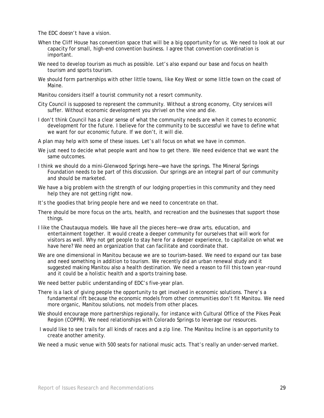The EDC doesn't have a vision.

- When the Cliff House has convention space that will be a big opportunity for us. We need to look at our capacity for small, high-end convention business. I agree that convention coordination is important.
- We need to develop tourism as much as possible. Let's also expand our base and focus on health tourism and sports tourism.
- We should form partnerships with other little towns, like Key West or some little town on the coast of Maine.
- Manitou considers itself a tourist community not a resort community.
- City Council is supposed to represent the community. Without a strong economy, City services will suffer. Without economic development you shrivel on the vine and die.
- I don't think Council has a clear sense of what the community needs are when it comes to economic development for the future. I believe for the community to be successful we have to define what we want for our economic future. If we don't, it will die.
- A plan may help with some of these issues. Let's all focus on what we have in common.
- We just need to decide what people want and how to get there. We need evidence that we want the same outcomes.
- I think we should do a mini-Glenwood Springs here—we have the springs. The Mineral Springs Foundation needs to be part of this discussion. Our springs are an integral part of our community and should be marketed.
- We have a big problem with the strength of our lodging properties in this community and they need help they are not getting right now.
- It's the goodies that bring people here and we need to concentrate on that.
- There should be more focus on the arts, health, and recreation and the businesses that support those things.
- I like the Chautauqua models. We have all the pieces here—we draw arts, education, and entertainment together. It would create a deeper community for ourselves that will work for visitors as well. Why not get people to stay here for a deeper experience, to capitalize on what we have here? We need an organization that can facilitate and coordinate that.
- We are one dimensional in Manitou because we are so tourism-based. We need to expand our tax base and need something in addition to tourism. We recently did an urban renewal study and it suggested making Manitou also a health destination. We need a reason to fill this town year-round and it could be a holistic health and a sports training base.

We need better public understanding of EDC's five-year plan.

- There is a lack of giving people the opportunity to get involved in economic solutions. There's a fundamental rift because the economic models from other communities don't fit Manitou. We need more organic, Manitou solutions, not models from other places.
- We should encourage more partnerships regionally, for instance with Cultural Office of the Pikes Peak Region (COPPR). We need relationships with Colorado Springs to leverage our resources.
- I would like to see trails for all kinds of races and a zip line. The Manitou Incline is an opportunity to create another amenity.
- We need a music venue with 500 seats for national music acts. That's really an under-served market.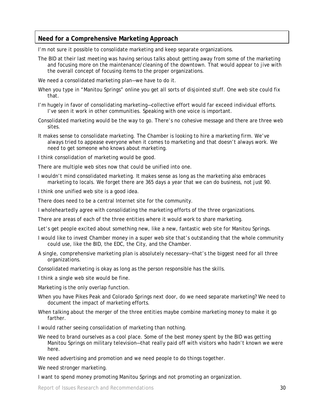#### **Need for a Comprehensive Marketing Approach**

I'm not sure it possible to consolidate marketing and keep separate organizations.

The BID at their last meeting was having serious talks about getting away from some of the marketing and focusing more on the maintenance/cleaning of the downtown. That would appear to jive with the overall concept of focusing items to the proper organizations.

We need a consolidated marketing plan—we have to do it.

- When you type in "Manitou Springs" online you get all sorts of disjointed stuff. One web site could fix that.
- I'm hugely in favor of consolidating marketing—collective effort would far exceed individual efforts. I've seen it work in other communities. Speaking with one voice is important.
- Consolidated marketing would be the way to go. There's no cohesive message and there are three web sites.
- It makes sense to consolidate marketing. The Chamber is looking to hire a marketing firm. We've always tried to appease everyone when it comes to marketing and that doesn't always work. We need to get someone who knows about marketing.

I think consolidation of marketing would be good.

There are multiple web sites now that could be unified into one.

I wouldn't mind consolidated marketing. It makes sense as long as the marketing also embraces marketing to locals. We forget there are 365 days a year that we can do business, not just 90.

I think one unified web site is a good idea.

There does need to be a central Internet site for the community.

I wholeheartedly agree with consolidating the marketing efforts of the three organizations.

There are areas of each of the three entities where it would work to share marketing.

Let's get people excited about something new, like a new, fantastic web site for Manitou Springs.

- I would like to invest Chamber money in a super web site that's outstanding that the whole community could use, like the BID, the EDC, the City, and the Chamber.
- A single, comprehensive marketing plan is absolutely necessary—that's the biggest need for all three organizations.

Consolidated marketing is okay as long as the person responsible has the skills.

I think a single web site would be fine.

Marketing is the only overlap function.

- When you have Pikes Peak and Colorado Springs next door, do we need separate marketing? We need to document the impact of marketing efforts.
- When talking about the merger of the three entities maybe combine marketing money to make it go farther.

I would rather seeing consolidation of marketing than nothing.

We need to brand ourselves as a cool place. Some of the best money spent by the BID was getting Manitou Springs on military television—that really paid off with visitors who hadn't known we were here.

We need advertising and promotion and we need people to do things together.

We need stronger marketing.

I want to spend money promoting Manitou Springs and not promoting an organization.

Report of Issues Research and Recommendations 30 and 30 and 30 and 30 and 30 and 30 and 30 and 30 and 30 and 30 and 30 and 30 and 30 and 30 and 30 and 30 and 30 and 30 and 30 and 30 and 30 and 30 and 30 and 30 and 30 and 3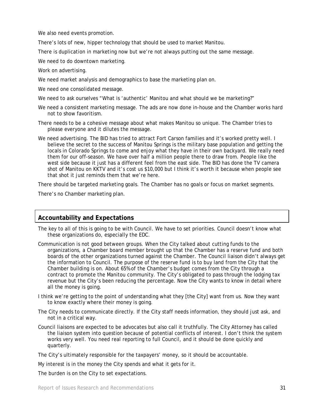We also need events promotion.

There's lots of new, hipper technology that should be used to market Manitou.

There is duplication in marketing now but we're not always putting out the same message.

We need to do downtown marketing.

Work on advertising.

We need market analysis and demographics to base the marketing plan on.

- We need one consolidated message.
- We need to ask ourselves "What is 'authentic' Manitou and what should we be marketing?"
- We need a consistent marketing message. The ads are now done in-house and the Chamber works hard not to show favoritism.
- There needs to be a cohesive message about what makes Manitou so unique. The Chamber tries to please everyone and it dilutes the message.
- We need advertising. The BID has tried to attract Fort Carson families and it's worked pretty well. I believe the secret to the success of Manitou Springs is the military base population and getting the locals in Colorado Springs to come and enjoy what they have in their own backyard. We really need them for our off-season. We have over half a million people there to draw from. People like the west side because it just has a different feel from the east side. The BID has done the TV camera shot of Manitou on KKTV and it's cost us \$10,000 but I think it's worth it because when people see that shot it just reminds them that we're here.

There should be targeted marketing goals. The Chamber has no goals or focus on market segments.

There's no Chamber marketing plan.

#### **Accountability and Expectations**

- The key to all of this is going to be with Council. We have to set priorities. Council doesn't know what these organizations do, especially the EDC.
- Communication is not good between groups. When the City talked about cutting funds to the organizations, a Chamber board member brought up that the Chamber has a reserve fund and both boards of the other organizations turned against the Chamber. The Council liaison didn't always get the information to Council. The purpose of the reserve fund is to buy land from the City that the Chamber building is on. About 65% of the Chamber's budget comes from the City through a contract to promote the Manitou community. The City's obligated to pass through the lodging tax revenue but the City's been reducing the percentage. Now the City wants to know in detail where all the money is going.
- I think we're getting to the point of understanding what they [the City] want from us. Now they want to know exactly where their money is going.
- The City needs to communicate directly. If the City staff needs information, they should just ask, and not in a critical way.
- Council liaisons are expected to be advocates but also call it truthfully. The City Attorney has called the liaison system into question because of potential conflicts of interest. I don't think the system works very well. You need real reporting to full Council, and it should be done quickly and quarterly.

The City's ultimately responsible for the taxpayers' money, so it should be accountable.

My interest is in the money the City spends and what it gets for it.

The burden is on the City to set expectations.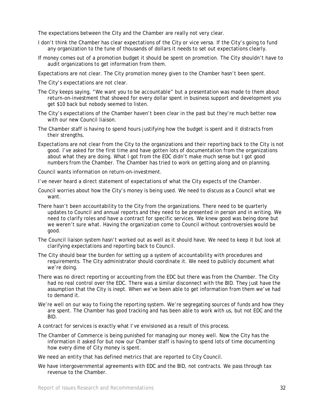The expectations between the City and the Chamber are really not very clear.

- I don't think the Chamber has clear expectations of the City or vice versa. If the City's going to fund any organization to the tune of thousands of dollars it needs to set out expectations clearly.
- If money comes out of a promotion budget it should be spent on promotion. The City shouldn't have to audit organizations to get information from them.

Expectations are not clear. The City promotion money given to the Chamber hasn't been spent.

The City's expectations are not clear.

- The City keeps saying, "We want you to be accountable" but a presentation was made to them about return-on-investment that showed for every dollar spent in business support and development you get \$10 back but nobody seemed to listen.
- The City's expectations of the Chamber haven't been clear in the past but they're much better now with our new Council liaison.
- The Chamber staff is having to spend hours justifying how the budget is spent and it distracts from their strengths.
- Expectations are not clear from the City to the organizations and their reporting back to the City is not good. I've asked for the first time and have gotten lots of documentation from the organizations about what they are doing. What I got from the EDC didn't make much sense but I got good numbers from the Chamber. The Chamber has tried to work on getting along and on planning.

Council wants information on return-on-investment.

I've never heard a direct statement of expectations of what the City expects of the Chamber.

- Council worries about how the City's money is being used. We need to discuss as a Council what we want.
- There hasn't been accountability to the City from the organizations. There need to be quarterly updates to Council and annual reports and they need to be presented in person and in writing. We need to clarify roles and have a contract for specific services. We knew good was being done but we weren't sure what. Having the organization come to Council without controversies would be good.
- The Council liaison system hasn't worked out as well as it should have. We need to keep it but look at clarifying expectations and reporting back to Council.
- The City should bear the burden for setting up a system of accountability with procedures and requirements. The City administrator should coordinate it. We need to publicly document what we're doing.
- There was no direct reporting or accounting from the EDC but there was from the Chamber. The City had no real control over the EDC. There was a similar disconnect with the BID. They just have the assumption that the City is inept. When we've been able to get information from them we've had to demand it.
- We're well on our way to fixing the reporting system. We're segregating sources of funds and how they are spent. The Chamber has good tracking and has been able to work with us, but not EDC and the BID.

A contract for services is exactly what I've envisioned as a result of this process.

The Chamber of Commerce is being punished for managing our money well. Now the City has the information it asked for but now our Chamber staff is having to spend lots of time documenting how every dime of City money is spent.

We need an entity that has defined metrics that are reported to City Council.

We have intergovernmental agreements with EDC and the BID, not contracts. We pass through tax revenue to the Chamber.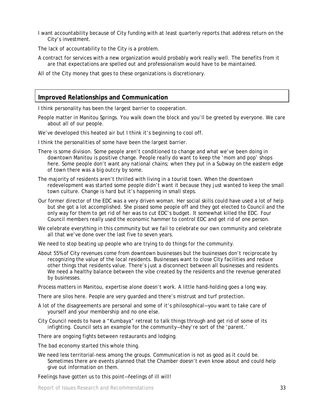I want accountability because of City funding with at least quarterly reports that address return on the City's investment.

The lack of accountability to the City is a problem.

- A contract for services with a new organization would probably work really well. The benefits from it are that expectations are spelled out and professionalism would have to be maintained.
- All of the City money that goes to these organizations is discretionary.

#### **Improved Relationships and Communication**

I think personality has been the largest barrier to cooperation.

People matter in Manitou Springs. You walk down the block and you'll be greeted by everyone. We care about all of our people.

We've developed this heated air but I think it's beginning to cool off.

- I think the personalities of some have been the largest barrier.
- There is some division. Some people aren't conditioned to change and what we've been doing in downtown Manitou is positive change. People really do want to keep the 'mom and pop' shops here. Some people don't want any national chains; when they put in a Subway on the eastern edge of town there was a big outcry by some.
- The majority of residents aren't thrilled with living in a tourist town. When the downtown redevelopment was started some people didn't want it because they just wanted to keep the small town culture. Change is hard but it's happening in small steps.
- Our former director of the EDC was a very driven woman. Her social skills could have used a lot of help but she got a lot accomplished. She pissed some people off and they got elected to Council and the only way for them to get rid of her was to cut EDC's budget. It somewhat killed the EDC. Four Council members really used the economic hammer to control EDC and get rid of one person.
- We celebrate everything in this community but we fail to celebrate our own community and celebrate all that we've done over the last five to seven years.
- We need to stop beating up people who are trying to do things for the community.
- About 55% of City revenues come from downtown businesses but the businesses don't reciprocate by recognizing the value of the local residents. Businesses want to close City facilities and reduce other things that residents value. There's just a disconnect between all businesses and residents. We need a healthy balance between the vibe created by the residents and the revenue generated by businesses.

Process matters in Manitou, expertise alone doesn't work. A little hand-holding goes a long way.

There are silos here. People are very guarded and there's mistrust and turf protection.

- A lot of the disagreements are personal and some of it's philosophical—you want to take care of yourself and your membership and no one else.
- City Council needs to have a "Kumbaya" retreat to talk things through and get rid of some of its infighting. Council sets an example for the community—they're sort of the 'parent.'

There are ongoing fights between restaurants and lodging.

The bad economy started this whole thing.

We need less territorial-ness among the groups. Communication is not as good as it could be. Sometimes there are events planned that the Chamber doesn't even know about and could help give out information on them.

Feelings have gotten us to this point—feelings of ill will!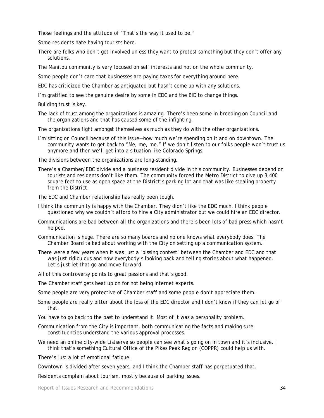Those feelings and the attitude of "That's the way it used to be."

Some residents hate having tourists here.

There are folks who don't get involved unless they want to protest something but they don't offer any solutions.

The Manitou community is very focused on self interests and not on the whole community.

Some people don't care that businesses are paying taxes for everything around here.

EDC has criticized the Chamber as antiquated but hasn't come up with any solutions.

I'm gratified to see the genuine desire by some in EDC and the BID to change things.

Building trust is key.

The lack of trust among the organizations is amazing. There's been some in-breeding on Council and the organizations and that has caused some of the infighting.

The organizations fight amongst themselves as much as they do with the other organizations.

I'm sitting on Council because of this issue—how much we're spending on it and on downtown. The community wants to get back to "Me, me, me." If we don't listen to our folks people won't trust us anymore and then we'll get into a situation like Colorado Springs.

The divisions between the organizations are long-standing.

There's a Chamber/EDC divide and a business/resident divide in this community. Businesses depend on tourists and residents don't like them. The community forced the Metro District to give up 3,400 square feet to use as open space at the District's parking lot and that was like stealing property from the District.

The EDC and Chamber relationship has really been tough.

- I think the community is happy with the Chamber. They didn't like the EDC much. I think people questioned why we couldn't afford to hire a City administrator but we could hire an EDC director.
- Communications are bad between all the organizations and there's been lots of bad press which hasn't helped.
- Communication is huge. There are so many boards and no one knows what everybody does. The Chamber Board talked about working with the City on setting up a communication system.
- There were a few years when it was just a 'pissing contest' between the Chamber and EDC and that was just ridiculous and now everybody's looking back and telling stories about what happened. Let's just let that go and move forward.
- All of this controversy points to great passions and that's good.
- The Chamber staff gets beat up on for not being Internet experts.

Some people are very protective of Chamber staff and some people don't appreciate them.

- Some people are really bitter about the loss of the EDC director and I don't know if they can let go of that.
- You have to go back to the past to understand it. Most of it was a personality problem.
- Communication from the City is important, both communicating the facts and making sure constituencies understand the various approval processes.
- We need an online city-wide Listserve so people can see what's going on in town and it's inclusive. I think that's something Cultural Office of the Pikes Peak Region (COPPR) could help us with.

There's just a lot of emotional fatigue.

Downtown is divided after seven years, and I think the Chamber staff has perpetuated that.

Residents complain about tourism, mostly because of parking issues.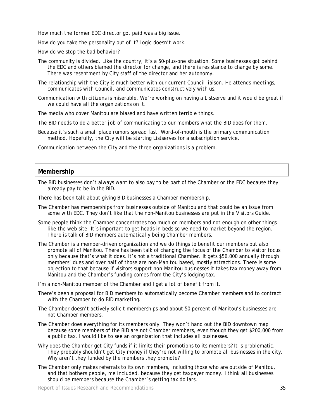How much the former EDC director got paid was a big issue.

How do you take the personality out of it? Logic doesn't work.

How do we stop the bad behavior?

- The community is divided. Like the country, it's a 50-plus-one situation. Some businesses got behind the EDC and others blamed the director for change, and there is resistance to change by some. There was resentment by City staff of the director and her autonomy.
- The relationship with the City is much better with our current Council liaison. He attends meetings, communicates with Council, and communicates constructively with us.
- Communication with citizens is miserable. We're working on having a Listserve and it would be great if we could have all the organizations on it.

The media who cover Manitou are biased and have written terrible things.

- The BID needs to do a better job of communicating to our members what the BID does for them.
- Because it's such a small place rumors spread fast. Word-of-mouth is the primary communication method. Hopefully, the City will be starting Listserves for a subscription service.

Communication between the City and the three organizations is a problem.

#### **Membership**

The BID businesses don't always want to also pay to be part of the Chamber or the EDC because they already pay to be in the BID.

There has been talk about giving BID businesses a Chamber membership.

- The Chamber has memberships from businesses outside of Manitou and that could be an issue from some with EDC. They don't like that the non-Manitou businesses are put in the Visitors Guide.
- Some people think the Chamber concentrates too much on members and not enough on other things like the web site. It's important to get heads in beds so we need to market beyond the region. There is talk of BID members automatically being Chamber members.
- The Chamber is a member-driven organization and we do things to benefit our members but also promote all of Manitou. There has been talk of changing the focus of the Chamber to visitor focus only because that's what it does. It's not a traditional Chamber. It gets \$56,000 annually through members' dues and over half of those are non-Manitou based, mostly attractions. There is some objection to that because if visitors support non-Manitou businesses it takes tax money away from Manitou and the Chamber's funding comes from the City's lodging tax.

I'm a non-Manitou member of the Chamber and I get a lot of benefit from it.

- There's been a proposal for BID members to automatically become Chamber members and to contract with the Chamber to do BID marketing.
- The Chamber doesn't actively solicit memberships and about 50 percent of Manitou's businesses are not Chamber members.
- The Chamber does everything for its members only. They won't hand out the BID downtown map because some members of the BID are not Chamber members, even though they get \$200,000 from a public tax. I would like to see an organization that includes all businesses.
- Why does the Chamber get City funds if it limits their promotions to its members? It is problematic. They probably shouldn't get City money if they're not willing to promote all businesses in the city. Why aren't they funded by the members they promote?
- The Chamber only makes referrals to its own members, including those who are outside of Manitou, and that bothers people, me included, because they get taxpayer money. I think all businesses should be members because the Chamber's getting tax dollars.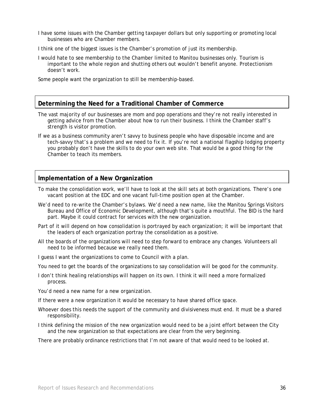- I have some issues with the Chamber getting taxpayer dollars but only supporting or promoting local businesses who are Chamber members.
- I think one of the biggest issues is the Chamber's promotion of just its membership.
- I would hate to see membership to the Chamber limited to Manitou businesses only. Tourism is important to the whole region and shutting others out wouldn't benefit anyone. Protectionism doesn't work.

Some people want the organization to still be membership-based.

#### **Determining the Need for a Traditional Chamber of Commerce**

- The vast majority of our businesses are mom and pop operations and they're not really interested in getting advice from the Chamber about how to run their business. I think the Chamber staff's strength is visitor promotion.
- If we as a business community aren't savvy to business people who have disposable income and are tech-savvy that's a problem and we need to fix it. If you're not a national flagship lodging property you probably don't have the skills to do your own web site. That would be a good thing for the Chamber to teach its members.

#### **Implementation of a New Organization**

- To make the consolidation work, we'll have to look at the skill sets at both organizations. There's one vacant position at the EDC and one vacant full-time position open at the Chamber.
- We'd need to re-write the Chamber's bylaws. We'd need a new name, like the Manitou Springs Visitors Bureau and Office of Economic Development, although that's quite a mouthful. The BID is the hard part. Maybe it could contract for services with the new organization.
- Part of it will depend on how consolidation is portrayed by each organization; it will be important that the leaders of each organization portray the consolidation as a positive.
- All the boards of the organizations will need to step forward to embrace any changes. Volunteers all need to be informed because we really need them.
- I guess I want the organizations to come to Council with a plan.
- You need to get the boards of the organizations to say consolidation will be good for the community.
- I don't think healing relationships will happen on its own. I think it will need a more formalized process.

You'd need a new name for a new organization.

- If there were a new organization it would be necessary to have shared office space.
- Whoever does this needs the support of the community and divisiveness must end. It must be a shared responsibility.
- I think defining the mission of the new organization would need to be a joint effort between the City and the new organization so that expectations are clear from the very beginning.

There are probably ordinance restrictions that I'm not aware of that would need to be looked at.